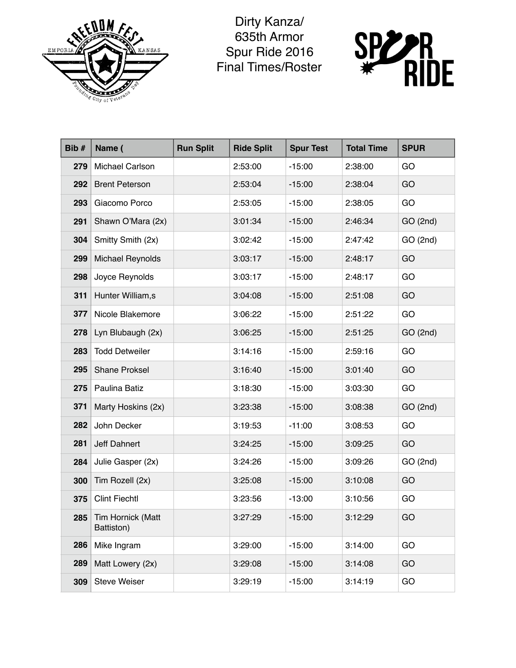

Dirty Kanza/ 635th Armor Spur Ride 2016 Final Times/Roster



| Bib# | Name (                                | <b>Run Split</b> | <b>Ride Split</b> | <b>Spur Test</b> | <b>Total Time</b> | <b>SPUR</b> |
|------|---------------------------------------|------------------|-------------------|------------------|-------------------|-------------|
| 279  | Michael Carlson                       |                  | 2:53:00           | $-15:00$         | 2:38:00           | GO          |
| 292  | <b>Brent Peterson</b>                 |                  | 2:53:04           | $-15:00$         | 2:38:04           | GO          |
| 293  | Giacomo Porco                         |                  | 2:53:05           | $-15:00$         | 2:38:05           | GO          |
| 291  | Shawn O'Mara (2x)                     |                  | 3:01:34           | $-15:00$         | 2:46:34           | GO(2nd)     |
| 304  | Smitty Smith (2x)                     |                  | 3:02:42           | $-15:00$         | 2:47:42           | GO (2nd)    |
| 299  | <b>Michael Reynolds</b>               |                  | 3:03:17           | $-15:00$         | 2:48:17           | GO          |
| 298  | Joyce Reynolds                        |                  | 3:03:17           | $-15:00$         | 2:48:17           | GO          |
| 311  | Hunter William,s                      |                  | 3:04:08           | $-15:00$         | 2:51:08           | GO          |
| 377  | Nicole Blakemore                      |                  | 3:06:22           | $-15:00$         | 2:51:22           | GO          |
| 278  | Lyn Blubaugh (2x)                     |                  | 3:06:25           | $-15:00$         | 2:51:25           | GO(2nd)     |
| 283  | <b>Todd Detweiler</b>                 |                  | 3:14:16           | $-15:00$         | 2:59:16           | GO          |
| 295  | <b>Shane Proksel</b>                  |                  | 3:16:40           | $-15:00$         | 3:01:40           | GO          |
| 275  | Paulina Batiz                         |                  | 3:18:30           | $-15:00$         | 3:03:30           | GO          |
| 371  | Marty Hoskins (2x)                    |                  | 3:23:38           | $-15:00$         | 3:08:38           | GO(2nd)     |
| 282  | John Decker                           |                  | 3:19:53           | $-11:00$         | 3:08:53           | GO          |
| 281  | Jeff Dahnert                          |                  | 3:24:25           | $-15:00$         | 3:09:25           | GO          |
| 284  | Julie Gasper (2x)                     |                  | 3:24:26           | $-15:00$         | 3:09:26           | GO (2nd)    |
| 300  | Tim Rozell (2x)                       |                  | 3:25:08           | $-15:00$         | 3:10:08           | GO          |
| 375  | <b>Clint Fiechtl</b>                  |                  | 3:23:56           | $-13:00$         | 3:10:56           | GO          |
|      | 285   Tim Hornick (Matt<br>Battiston) |                  | 3:27:29           | $-15:00$         | 3:12:29           | GO          |
| 286  | Mike Ingram                           |                  | 3:29:00           | $-15:00$         | 3:14:00           | GO          |
| 289  | Matt Lowery (2x)                      |                  | 3:29:08           | $-15:00$         | 3:14:08           | GO          |
| 309  | <b>Steve Weiser</b>                   |                  | 3:29:19           | $-15:00$         | 3:14:19           | GO          |